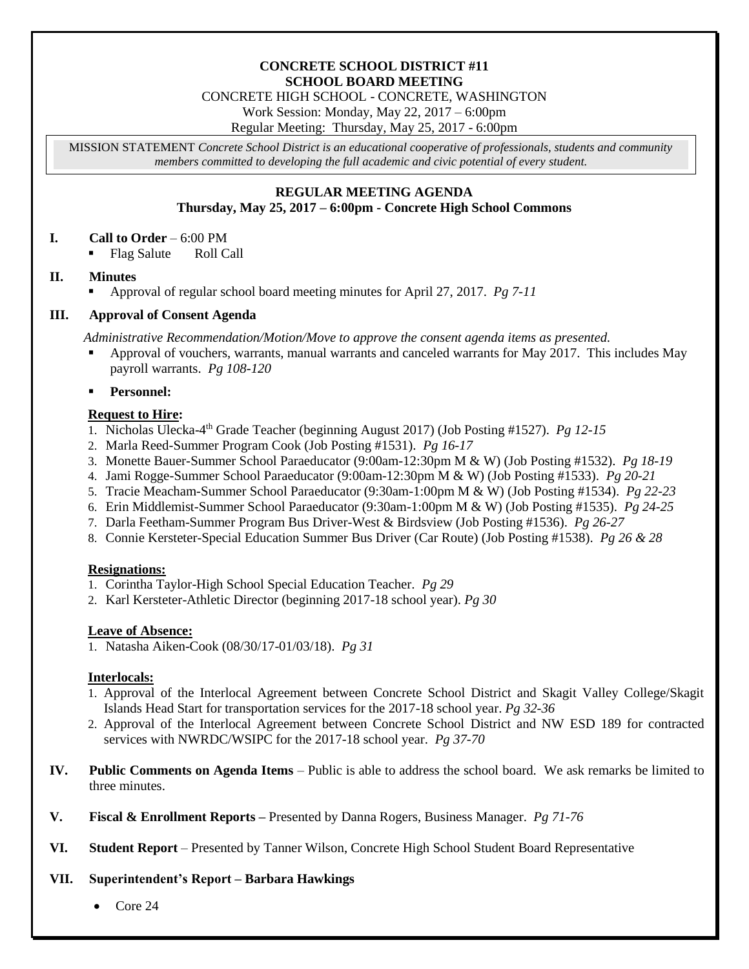#### **CONCRETE SCHOOL DISTRICT #11 SCHOOL BOARD MEETING**

CONCRETE HIGH SCHOOL - CONCRETE, WASHINGTON

Work Session: Monday, May 22, 2017 – 6:00pm

Regular Meeting: Thursday, May 25, 2017 - 6:00pm

MISSION STATEMENT *Concrete School District is an educational cooperative of professionals, students and community members committed to developing the full academic and civic potential of every student.*

## **REGULAR MEETING AGENDA Thursday, May 25, 2017 – 6:00pm - Concrete High School Commons**

# **I. Call to Order** – 6:00 PM

Flag Salute Roll Call

# **II. Minutes**

Approval of regular school board meeting minutes for April 27, 2017. *Pg 7-11*

# **III. Approval of Consent Agenda**

*Administrative Recommendation/Motion/Move to approve the consent agenda items as presented.*

 Approval of vouchers, warrants, manual warrants and canceled warrants for May 2017. This includes May payroll warrants. *Pg 108-120*

**Personnel:**

# **Request to Hire:**

- 1. Nicholas Ulecka-4 th Grade Teacher (beginning August 2017) (Job Posting #1527). *Pg 12-15*
- 2. Marla Reed*-*Summer Program Cook (Job Posting #1531). *Pg 16-17*
- 3. Monette Bauer*-*Summer School Paraeducator (9:00am-12:30pm M & W) (Job Posting #1532). *Pg 18-19*
- 4. Jami Rogge*-*Summer School Paraeducator (9:00am-12:30pm M & W) (Job Posting #1533). *Pg 20-21*
- 5. Tracie Meacham*-*Summer School Paraeducator (9:30am-1:00pm M & W) (Job Posting #1534). *Pg 22-23*
- 6. Erin Middlemist*-*Summer School Paraeducator (9:30am-1:00pm M & W) (Job Posting #1535). *Pg 24-25*
- 7. Darla Feetham-Summer Program Bus Driver-West & Birdsview (Job Posting #1536). *Pg 26-27*
- 8. Connie Kersteter-Special Education Summer Bus Driver (Car Route) (Job Posting #1538). *Pg 26 & 28*

## **Resignations:**

- 1. Corintha Taylor-High School Special Education Teacher. *Pg 29*
- 2. Karl Kersteter-Athletic Director (beginning 2017-18 school year). *Pg 30*

## **Leave of Absence:**

1. Natasha Aiken-Cook (08/30/17-01/03/18). *Pg 31*

## **Interlocals:**

- 1. Approval of the Interlocal Agreement between Concrete School District and Skagit Valley College/Skagit Islands Head Start for transportation services for the 2017-18 school year. *Pg 32-36*
- 2. Approval of the Interlocal Agreement between Concrete School District and NW ESD 189 for contracted services with NWRDC/WSIPC for the 2017-18 school year. *Pg 37-70*
- **IV. Public Comments on Agenda Items** Public is able to address the school board. We ask remarks be limited to three minutes.
- **V. Fiscal & Enrollment Reports –** Presented by Danna Rogers, Business Manager. *Pg 71-76*
- **VI. Student Report** Presented by Tanner Wilson, Concrete High School Student Board Representative

## **VII. Superintendent's Report – Barbara Hawkings**

Core 24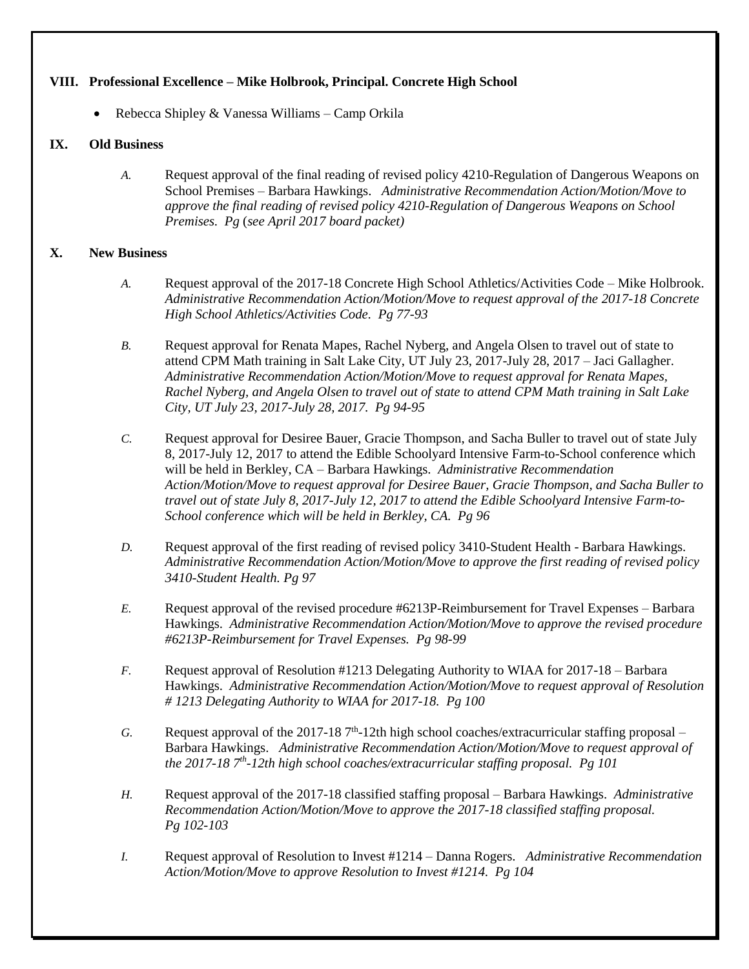#### **VIII. Professional Excellence – Mike Holbrook, Principal. Concrete High School**

Rebecca Shipley & Vanessa Williams – Camp Orkila

#### **IX. Old Business**

*A.* Request approval of the final reading of revised policy 4210-Regulation of Dangerous Weapons on School Premises – Barbara Hawkings. *Administrative Recommendation Action/Motion/Move to approve the final reading of revised policy 4210-Regulation of Dangerous Weapons on School Premises. Pg* (*see April 2017 board packet)*

## **X. New Business**

- *A.* Request approval of the 2017-18 Concrete High School Athletics/Activities Code Mike Holbrook. *Administrative Recommendation Action/Motion/Move to request approval of the 2017-18 Concrete High School Athletics/Activities Code. Pg 77-93*
- *B.* Request approval for Renata Mapes, Rachel Nyberg, and Angela Olsen to travel out of state to attend CPM Math training in Salt Lake City, UT July 23, 2017-July 28, 2017 – Jaci Gallagher. *Administrative Recommendation Action/Motion/Move to request approval for Renata Mapes, Rachel Nyberg, and Angela Olsen to travel out of state to attend CPM Math training in Salt Lake City, UT July 23, 2017-July 28, 2017. Pg 94-95*
- *C.* Request approval for Desiree Bauer, Gracie Thompson, and Sacha Buller to travel out of state July 8, 2017-July 12, 2017 to attend the Edible Schoolyard Intensive Farm-to-School conference which will be held in Berkley, CA – Barbara Hawkings. *Administrative Recommendation Action/Motion/Move to request approval for Desiree Bauer, Gracie Thompson, and Sacha Buller to travel out of state July 8, 2017-July 12, 2017 to attend the Edible Schoolyard Intensive Farm-to-School conference which will be held in Berkley, CA. Pg 96*
- *D.* Request approval of the first reading of revised policy 3410-Student Health Barbara Hawkings. *Administrative Recommendation Action/Motion/Move to approve the first reading of revised policy 3410-Student Health. Pg 97*
- *E.* Request approval of the revised procedure #6213P-Reimbursement for Travel Expenses Barbara Hawkings. *Administrative Recommendation Action/Motion/Move to approve the revised procedure #6213P-Reimbursement for Travel Expenses. Pg 98-99*
- *F.* Request approval of Resolution #1213 Delegating Authority to WIAA for 2017-18 Barbara Hawkings. *Administrative Recommendation Action/Motion/Move to request approval of Resolution # 1213 Delegating Authority to WIAA for 2017-18. Pg 100*
- $G.$  Request approval of the 2017-18  $7<sup>th</sup>$ -12th high school coaches/extracurricular staffing proposal Barbara Hawkings. *Administrative Recommendation Action/Motion/Move to request approval of the 2017-18 7 th -12th high school coaches/extracurricular staffing proposal. Pg 101*
- *H.* Request approval of the 2017-18 classified staffing proposal Barbara Hawkings. *Administrative Recommendation Action/Motion/Move to approve the 2017-18 classified staffing proposal. Pg 102-103*
- *I.* Request approval of Resolution to Invest #1214 Danna Rogers. *Administrative Recommendation Action/Motion/Move to approve Resolution to Invest #1214. Pg 104*